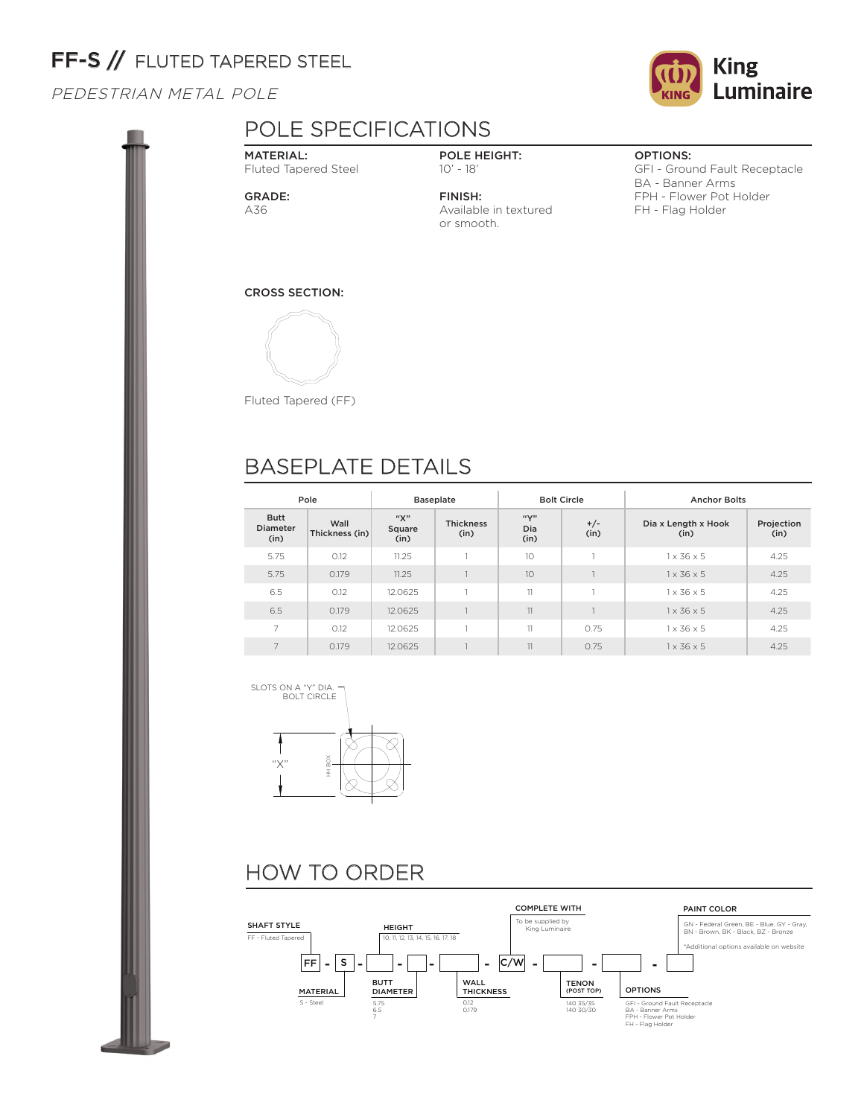# FF-S // FLUTED TAPERED STEEL

PEDESTRIAN METAL POLE



MATERIAL: Fluted Tapered Steel

GRADE: A36

POLE HEIGHT: 10' - 18'

FINISH: Available in textured or smooth.

## OPTIONS:

GFI - Ground Fault Receptacle BA - Banner Arms FPH - Flower Pot Holder FH - Flag Holder

### CROSS SECTION:



Fluted Tapered (FF)

# BASEPLATE DETAILS

| Pole                                   |                        |                       | <b>Baseplate</b>         | <b>Bolt Circle</b>       |               | <b>Anchor Bolts</b>         |                    |  |
|----------------------------------------|------------------------|-----------------------|--------------------------|--------------------------|---------------|-----------------------------|--------------------|--|
| <b>Butt</b><br><b>Diameter</b><br>(in) | Wall<br>Thickness (in) | "Х"<br>Square<br>(in) | <b>Thickness</b><br>(in) | $``\vee"$<br>Dia<br>(in) | $+/-$<br>(in) | Dia x Length x Hook<br>(in) | Projection<br>(in) |  |
| 5.75                                   | 0.12                   | 11.25                 |                          | 10                       |               | $1 \times 36 \times 5$      | 4.25               |  |
| 5.75                                   | 0.179                  | 11.25                 |                          | 10                       |               | $1 \times 36 \times 5$      | 4.25               |  |
| 6.5                                    | 0.12                   | 12.0625               |                          | 11                       |               | $1 \times 36 \times 5$      | 4.25               |  |
| 6.5                                    | 0.179                  | 12.0625               |                          | 11                       |               | $1 \times 36 \times 5$      | 4.25               |  |
| 7                                      | 0.12                   | 12.0625               |                          | 11                       | 0.75          | $1 \times 36 \times 5$      | 4.25               |  |
| 7                                      | 0.179                  | 12.0625               |                          | 11                       | 0.75          | $1 \times 36 \times 5$      | 4.25               |  |





# HOW TO ORDER



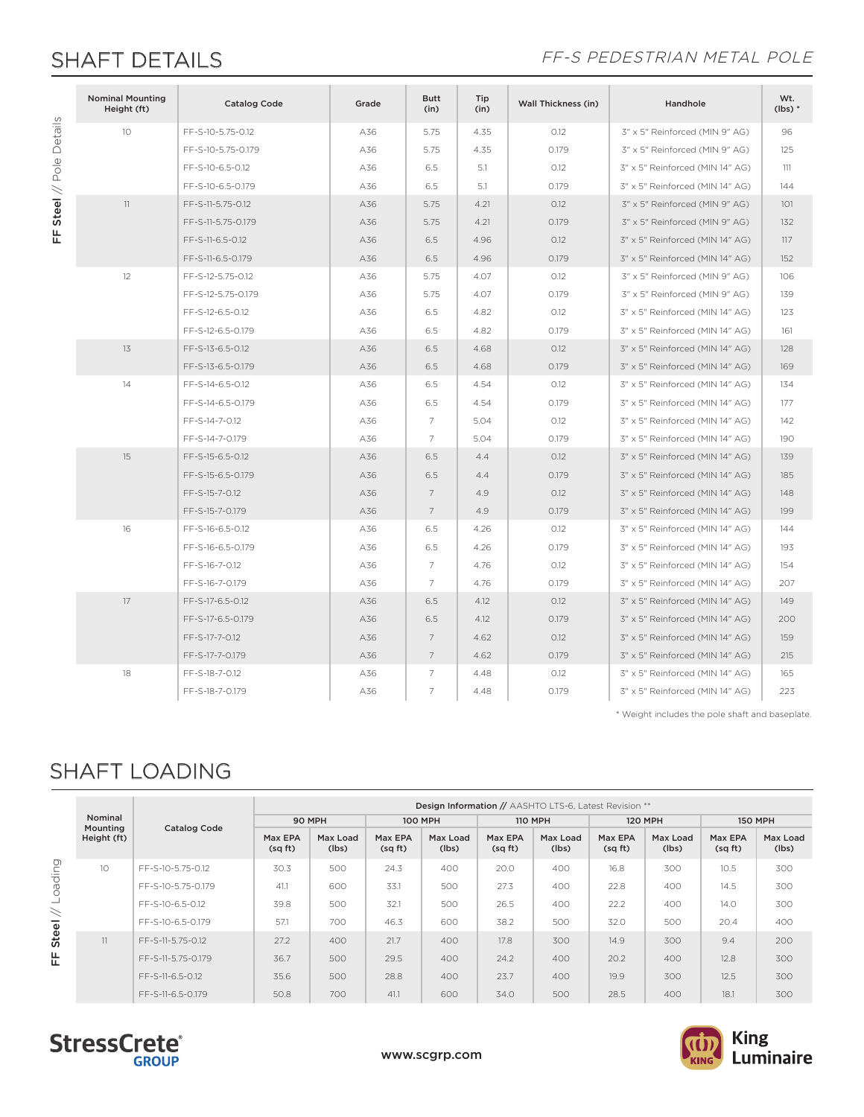FF Steel // Pole Details

FF Steel // Pole Details

## SHAFT DETAILS FF-S PEDESTRIAN METAL POLE

| <b>Nominal Mounting</b><br>Height (ft) | <b>Catalog Code</b> | Grade | <b>Butt</b><br>(in) | Tip<br>(in) | <b>Wall Thickness (in)</b> | Handhole                        | Wt.<br>$(lbs)*$ |
|----------------------------------------|---------------------|-------|---------------------|-------------|----------------------------|---------------------------------|-----------------|
| 10                                     | FF-S-10-5.75-0.12   | A36   | 5.75                | 4.35        | 0.12                       | 3" x 5" Reinforced (MIN 9" AG)  | 96              |
|                                        | FF-S-10-5.75-0.179  | A36   | 5.75                | 4.35        | 0.179                      | 3" x 5" Reinforced (MIN 9" AG)  | 125             |
|                                        | FF-S-10-6.5-0.12    | A36   | 6.5                 | 5.1         | O.12                       | 3" x 5" Reinforced (MIN 14" AG) | 111             |
|                                        | FF-S-10-6.5-0.179   | A36   | 6.5                 | 5.1         | 0.179                      | 3" x 5" Reinforced (MIN 14" AG) | 144             |
| 11                                     | FF-S-11-5.75-0.12   | A36   | 5.75                | 4.21        | O.12                       | 3" x 5" Reinforced (MIN 9" AG)  | 101             |
|                                        | FF-S-11-5.75-0.179  | A36   | 5.75                | 4.21        | 0.179                      | 3" x 5" Reinforced (MIN 9" AG)  | 132             |
|                                        | FF-S-11-6.5-0.12    | A36   | 6.5                 | 4.96        | O.12                       | 3" x 5" Reinforced (MIN 14" AG) | 117             |
|                                        | FF-S-11-6.5-0.179   | A36   | 6.5                 | 4.96        | 0.179                      | 3" x 5" Reinforced (MIN 14" AG) | 152             |
| 12                                     | FF-S-12-5.75-0.12   | A36   | 5.75                | 4.07        | O.12                       | 3" x 5" Reinforced (MIN 9" AG)  | 106             |
|                                        | FF-S-12-5.75-0.179  | A36   | 5.75                | 4.07        | 0.179                      | 3" x 5" Reinforced (MIN 9" AG)  | 139             |
|                                        | FF-S-12-6.5-0.12    | A36   | 6.5                 | 4.82        | O.12                       | 3" x 5" Reinforced (MIN 14" AG) | 123             |
|                                        | FF-S-12-6.5-0.179   | A36   | 6.5                 | 4.82        | 0.179                      | 3" x 5" Reinforced (MIN 14" AG) | 161             |
| 13                                     | FF-S-13-6.5-0.12    | A36   | 6.5                 | 4.68        | O.12                       | 3" x 5" Reinforced (MIN 14" AG) | 128             |
|                                        | FF-S-13-6.5-0.179   | A36   | 6.5                 | 4.68        | 0.179                      | 3" x 5" Reinforced (MIN 14" AG) | 169             |
| 14                                     | FF-S-14-6.5-0.12    | A36   | 6.5                 | 4.54        | O.12                       | 3" x 5" Reinforced (MIN 14" AG) | 134             |
|                                        | FF-S-14-6.5-0.179   | A36   | 6.5                 | 4.54        | 0.179                      | 3" x 5" Reinforced (MIN 14" AG) | 177             |
|                                        | FF-S-14-7-0.12      | A36   | $\overline{7}$      | 5.04        | O.12                       | 3" x 5" Reinforced (MIN 14" AG) | 142             |
|                                        | FF-S-14-7-0.179     | A36   | 7                   | 5.04        | 0.179                      | 3" x 5" Reinforced (MIN 14" AG) | 190             |
| 15                                     | FF-S-15-6.5-0.12    | A36   | 6.5                 | 4.4         | O.12                       | 3" x 5" Reinforced (MIN 14" AG) | 139             |
|                                        | FF-S-15-6.5-0.179   | A36   | 6.5                 | 4.4         | 0.179                      | 3" x 5" Reinforced (MIN 14" AG) | 185             |
|                                        | FF-S-15-7-0.12      | A36   | $\overline{7}$      | 4.9         | O.12                       | 3" x 5" Reinforced (MIN 14" AG) | 148             |
|                                        | FF-S-15-7-0.179     | A36   | $\overline{7}$      | 4.9         | 0.179                      | 3" x 5" Reinforced (MIN 14" AG) | 199             |
| 16                                     | FF-S-16-6.5-0.12    | A36   | 6.5                 | 4.26        | O.12                       | 3" x 5" Reinforced (MIN 14" AG) | 144             |
|                                        | FF-S-16-6.5-0.179   | A36   | 6.5                 | 4.26        | 0.179                      | 3" x 5" Reinforced (MIN 14" AG) | 193             |
|                                        | FF-S-16-7-0.12      | A36   | $\overline{7}$      | 4.76        | O.12                       | 3" x 5" Reinforced (MIN 14" AG) | 154             |
|                                        | FF-S-16-7-0.179     | A36   | $\overline{7}$      | 4.76        | 0.179                      | 3" x 5" Reinforced (MIN 14" AG) | 207             |
| 17                                     | FF-S-17-6.5-0.12    | A36   | 6.5                 | 4.12        | O.12                       | 3" x 5" Reinforced (MIN 14" AG) | 149             |
|                                        | FF-S-17-6.5-0.179   | A36   | 6.5                 | 4.12        | 0.179                      | 3" x 5" Reinforced (MIN 14" AG) | 200             |
|                                        | FF-S-17-7-0.12      | A36   | $\overline{7}$      | 4.62        | O.12                       | 3" x 5" Reinforced (MIN 14" AG) | 159             |
|                                        | FF-S-17-7-0.179     | A36   | $\overline{7}$      | 4.62        | 0.179                      | 3" x 5" Reinforced (MIN 14" AG) | 215             |
| 18                                     | FF-S-18-7-0.12      | A36   | $\overline{7}$      | 4.48        | 0.12                       | 3" x 5" Reinforced (MIN 14" AG) | 165             |
|                                        | FF-S-18-7-0.179     | A36   | $\overline{7}$      | 4.48        | 0.179                      | 3" x 5" Reinforced (MIN 14" AG) | 223             |

\* Weight includes the pole shaft and baseplate.

# SHAFT LOADING

|         |                     |                     | Design Information // AASHTO LTS-6, Latest Revision ** |                   |                   |                   |                   |                   |                    |                   |                   |                   |  |
|---------|---------------------|---------------------|--------------------------------------------------------|-------------------|-------------------|-------------------|-------------------|-------------------|--------------------|-------------------|-------------------|-------------------|--|
|         | Nominal<br>Mounting | <b>Catalog Code</b> | 90 MPH                                                 |                   | <b>100 MPH</b>    |                   | <b>110 MPH</b>    |                   | <b>120 MPH</b>     |                   | <b>150 MPH</b>    |                   |  |
|         | Height (ft)         |                     | Max EPA<br>(sqft)                                      | Max Load<br>(lbs) | Max EPA<br>(sqft) | Max Load<br>(lbs) | Max EPA<br>(sqft) | Max Load<br>(lbs) | Max EPA<br>(sq ft) | Max Load<br>(lbs) | Max EPA<br>(sqft) | Max Load<br>(lbs) |  |
| Loading | 10 <sup>°</sup>     | FF-S-10-5.75-0.12   | 30.3                                                   | 500               | 24.3              | 400               | 20.0              | 400               | 16.8               | 300               | 10.5              | 300               |  |
|         |                     | FF-S-10-5.75-0.179  | 41.1                                                   | 600               | 33.1              | 500               | 27.3              | 400               | 22.8               | 400               | 14.5              | 300               |  |
| $\prec$ |                     | FF-S-10-6.5-0.12    | 39.8                                                   | 500               | 32.1              | 500               | 26.5              | 400               | 22.2               | 400               | 14.0              | 300               |  |
|         |                     | FF-S-10-6.5-0.179   | 57.1                                                   | 700               | 46.3              | 600               | 38.2              | 500               | 32.0               | 500               | 20.4              | 400               |  |
| Steel   | 11                  | FF-S-11-5.75-0.12   | 27.2                                                   | 400               | 21.7              | 400               | 17.8              | 300               | 14.9               | 300               | 9.4               | 200               |  |
| 뜐       |                     | FF-S-11-5.75-0.179  | 36.7                                                   | 500               | 29.5              | 400               | 24.2              | 400               | 20.2               | 400               | 12.8              | 300               |  |
|         |                     | FF-S-11-6.5-0.12    | 35.6                                                   | 500               | 28.8              | 400               | 23.7              | 400               | 19.9               | 300               | 12.5              | 300               |  |
|         |                     | FF-S-11-6.5-0.179   | 50.8                                                   | 700               | 41.1              | 600               | 34.0              | 500               | 28.5               | 400               | 18.1              | 300               |  |